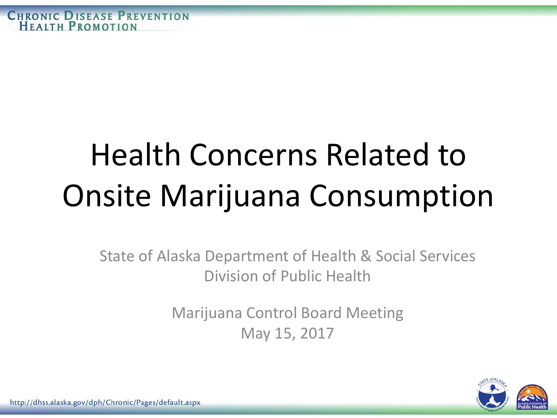# Health Concerns Related to Onsite Marijuana Consumption

State of Alaska Department of Health & Social Services Division of Public Health

> Marijuana Control Board Meeting May 15, 2017

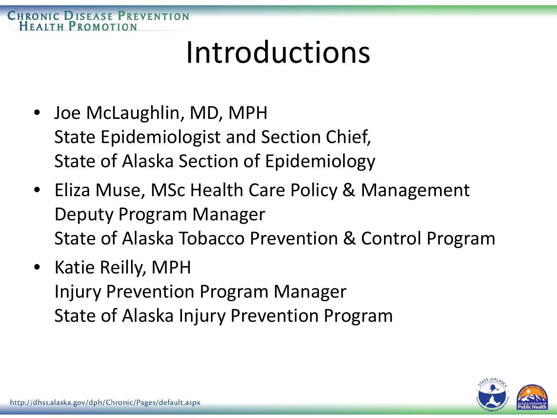#### **CHRONIC DISEASE PREVENTION** HEAITH PROMOTION

#### Introductions

- Joe McLaughlin, MD, MPH State Epidemiologist and Section Chief, State of Alaska Section of Epidemiology
- Eliza Muse, MSc Health Care Policy & Management Deputy Program Manager State of Alaska Tobacco Prevention & Control Program
- Katie Reilly, MPH Injury Prevention Program Manager State of Alaska Injury Prevention Program

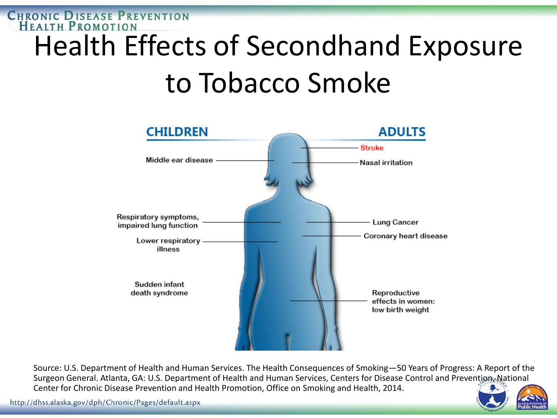#### **CHRONIC DISEASE PREVENTION**<br>**HEALTH PROMOTION** Health Effects of Secondhand Exposure to Tobacco Smoke



Source: U.S. Department of Health and Human Services. The Health Consequences of Smoking—50 Years of Progress: A Report of the Surgeon General. Atlanta, GA: U.S. Department of Health and Human Services, Centers for Disease Control and Prevention, National Center for Chronic Disease Prevention and Health Promotion, Office on Smoking and Health, 2014.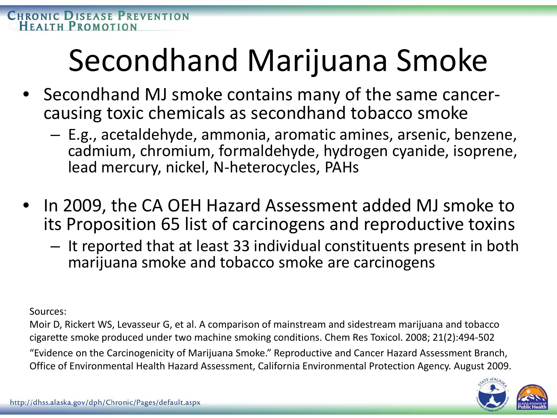### Secondhand Marijuana Smoke

- Secondhand MJ smoke contains many of the same cancer- causing toxic chemicals as secondhand tobacco smoke
	- E.g., acetaldehyde, ammonia, aromatic amines, arsenic, benzene, cadmium, chromium, formaldehyde, hydrogen cyanide, isoprene, lead mercury, nickel, N-heterocycles, PAHs
- In 2009, the CA OEH Hazard Assessment added MJ smoke to its Proposition 65 list of carcinogens and reproductive toxins
	- It reported that at least 33 individual constituents present in both marijuana smoke and tobacco smoke are carcinogens

#### Sources:

Moir D, Rickert WS, Levasseur G, et al. A comparison of mainstream and sidestream marijuana and tobacco cigarette smoke produced under two machine smoking conditions. Chem Res Toxicol. 2008; 21(2):494-502 "Evidence on the Carcinogenicity of Marijuana Smoke." Reproductive and Cancer Hazard Assessment Branch, Office of Environmental Health Hazard Assessment, California Environmental Protection Agency. August 2009.

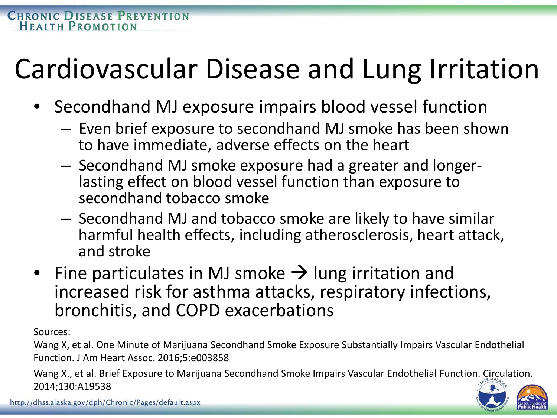#### Cardiovascular Disease and Lung Irritation

- Secondhand MJ exposure impairs blood vessel function
	- Even brief exposure to secondhand MJ smoke has been shown to have immediate, adverse effects on the heart
	- Secondhand MJ smoke exposure had a greater and longer- lasting effect on blood vessel function than exposure to secondhand tobacco smoke
	- Secondhand MJ and tobacco smoke are likely to have similar harmful health effects, including atherosclerosis, heart attack, and stroke
- Fine particulates in MJ smoke  $\rightarrow$  lung irritation and increased risk for asthma attacks, respiratory infections, bronchitis, and COPD exacerbations

Sources:

Wang X, et al. One Minute of Marijuana Secondhand Smoke Exposure Substantially Impairs Vascular Endothelial Function. J Am Heart Assoc. 2016;5:e003858

Wang X., et al. Brief Exposure to Marijuana Secondhand Smoke Impairs Vascular Endothelial Function. Circulation. 2014;130:A19538

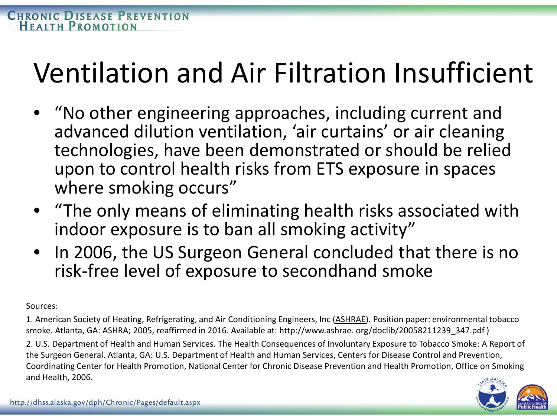#### Ventilation and Air Filtration Insufficient

- "No other engineering approaches, including current and advanced dilution ventilation, 'air curtains' or air cleaning technologies, have been demonstrated or should be relied upon to control health risks from ETS exposure in spaces where smoking occurs"
- "The only means of eliminating health risks associated with indoor exposure is to ban all smoking activity"
- In 2006, the US Surgeon General concluded that there is no risk-free level of exposure to secondhand smoke

Sources:

1. American Society of Heating, Refrigerating, and Air Conditioning Engineers, Inc (ASHRAE). Position paper: environmental tobacco smoke. Atlanta, GA: ASHRA; 2005, reaffirmed in 2016. Available at: http://www.ashrae. org/doclib/20058211239\_347.pdf )

2. U.S. Department of Health and Human Services. The Health Consequences of Involuntary Exposure to Tobacco Smoke: A Report of the Surgeon General. Atlanta, GA: U.S. Department of Health and Human Services, Centers for Disease Control and Prevention, Coordinating Center for Health Promotion, National Center for Chronic Disease Prevention and Health Promotion, Office on Smoking and Health, 2006.

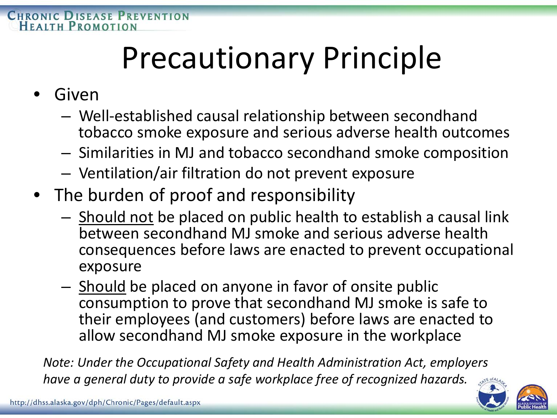## Precautionary Principle

- Given
	- Well-established causal relationship between secondhand tobacco smoke exposure and serious adverse health outcomes
	- Similarities in MJ and tobacco secondhand smoke composition
	- Ventilation/air filtration do not prevent exposure
- The burden of proof and responsibility
	- Should not be placed on public health to establish a causal link between secondhand MJ smoke and serious adverse health consequences before laws are enacted to prevent occupational exposure
	- Should be placed on anyone in favor of onsite public consumption to prove that secondhand MJ smoke is safe to their employees (and customers) before laws are enacted to allow secondhand MJ smoke exposure in the workplace

*Note: Under the Occupational Safety and Health Administration Act, employers have a general duty to provide a safe workplace free of recognized hazards.*

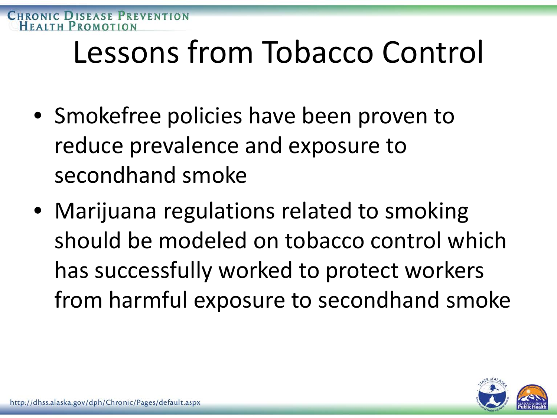#### Lessons from Tobacco Control

- Smokefree policies have been proven to reduce prevalence and exposure to secondhand smoke
- Marijuana regulations related to smoking should be modeled on tobacco control which has successfully worked to protect workers from harmful exposure to secondhand smoke

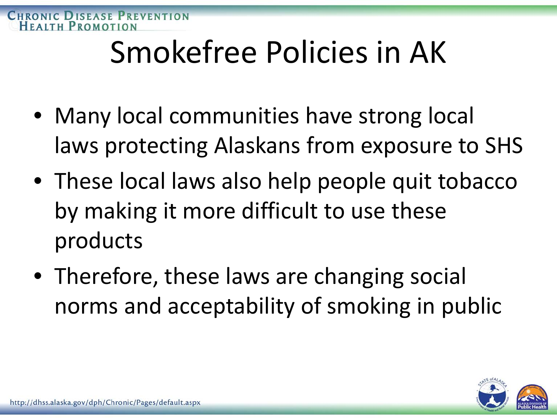## Smokefree Policies in AK

- Many local communities have strong local laws protecting Alaskans from exposure to SHS
- These local laws also help people quit tobacco by making it more difficult to use these products
- Therefore, these laws are changing social norms and acceptability of smoking in public

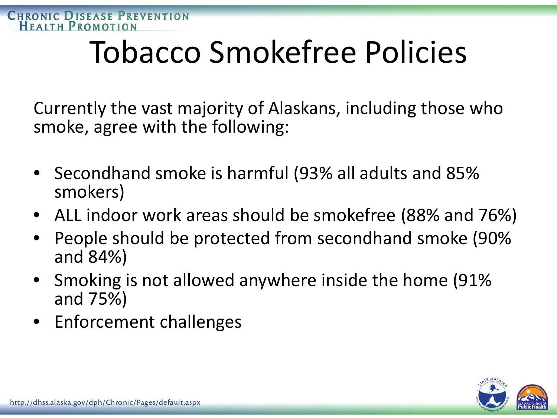### Tobacco Smokefree Policies

Currently the vast majority of Alaskans, including those who smoke, agree with the following:

- Secondhand smoke is harmful (93% all adults and 85% smokers)
- ALL indoor work areas should be smokefree (88% and 76%)
- People should be protected from secondhand smoke (90% and 84%)
- Smoking is not allowed anywhere inside the home (91% and 75%)
- Enforcement challenges

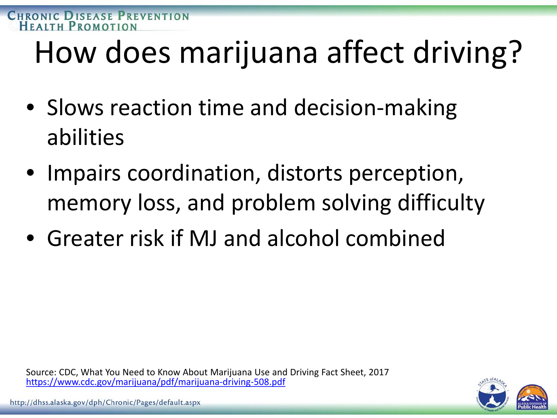## How does marijuana affect driving?

- Slows reaction time and decision-making abilities
- Impairs coordination, distorts perception, memory loss, and problem solving difficulty
- Greater risk if MJ and alcohol combined

Source: CDC, What You Need to Know About Marijuana Use and Driving Fact Sheet, 2017 <https://www.cdc.gov/marijuana/pdf/marijuana-driving-508.pdf>

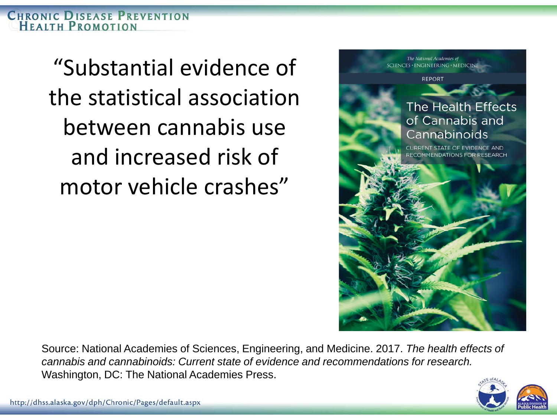**CHRONIC DISEASE PREVENTION** HEALTH PROMOTION

> "Substantial evidence of the statistical association between cannabis use and increased risk of motor vehicle crashes"



Source: National Academies of Sciences, Engineering, and Medicine. 2017. *The health effects of cannabis and cannabinoids: Current state of evidence and recommendations for research.*  Washington, DC: The National Academies Press.

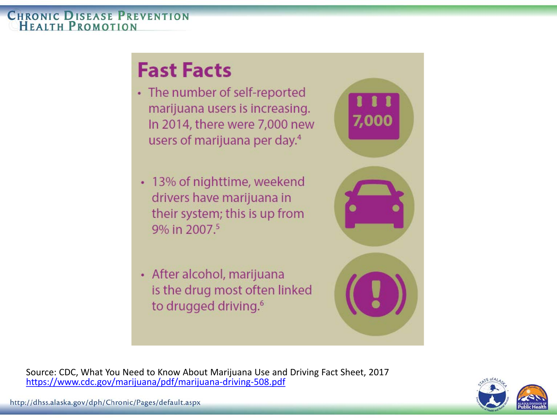#### **CHRONIC DISEASE PREVENTION HEALTH PROMOTION**

#### **Fast Facts**

- The number of self-reported marijuana users is increasing. In 2014, there were 7,000 new users of marijuana per day.<sup>4</sup>
- 13% of nighttime, weekend drivers have marijuana in their system; this is up from 9% in 2007.5
- After alcohol, marijuana is the drug most often linked to drugged driving.<sup>6</sup>



Source: CDC, What You Need to Know About Marijuana Use and Driving Fact Sheet, 2017 <https://www.cdc.gov/marijuana/pdf/marijuana-driving-508.pdf>

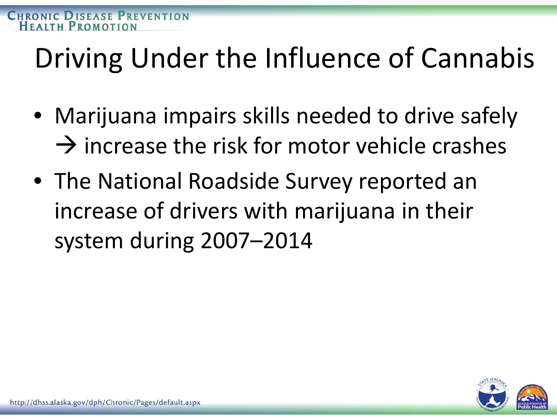#### Driving Under the Influence of Cannabis

- Marijuana impairs skills needed to drive safely  $\rightarrow$  increase the risk for motor vehicle crashes
- The National Roadside Survey reported an increase of drivers with marijuana in their system during 2007–2014

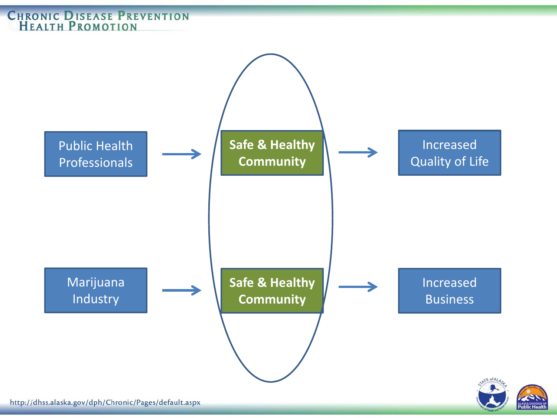#### **CHRONIC DISEASE PREVENTION**<br>**HEALTH PROMOTION**